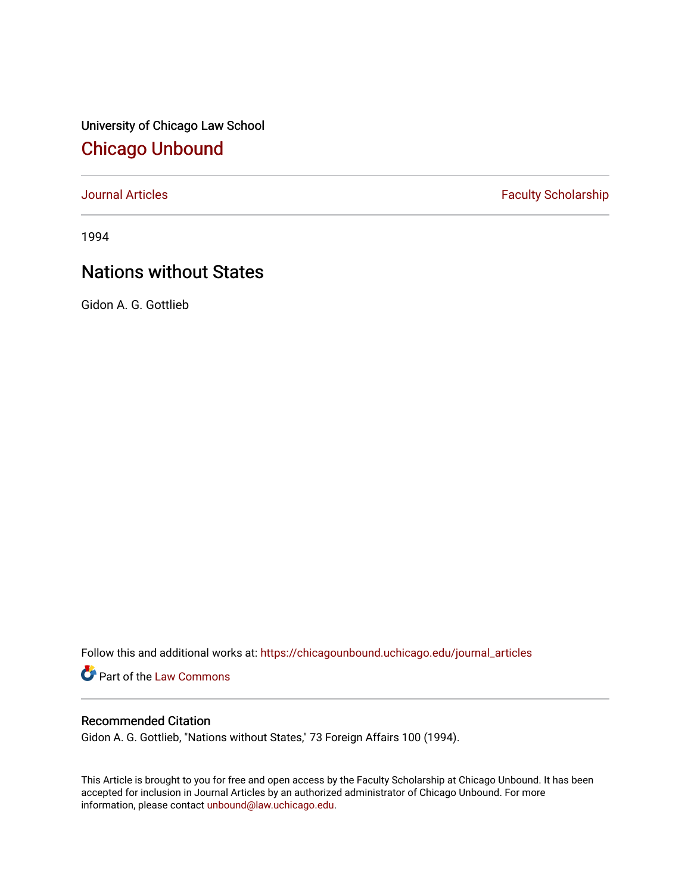University of Chicago Law School [Chicago Unbound](https://chicagounbound.uchicago.edu/)

[Journal Articles](https://chicagounbound.uchicago.edu/journal_articles) **Faculty Scholarship Faculty Scholarship** 

1994

# Nations without States

Gidon A. G. Gottlieb

Follow this and additional works at: [https://chicagounbound.uchicago.edu/journal\\_articles](https://chicagounbound.uchicago.edu/journal_articles?utm_source=chicagounbound.uchicago.edu%2Fjournal_articles%2F3676&utm_medium=PDF&utm_campaign=PDFCoverPages) 

Part of the [Law Commons](http://network.bepress.com/hgg/discipline/578?utm_source=chicagounbound.uchicago.edu%2Fjournal_articles%2F3676&utm_medium=PDF&utm_campaign=PDFCoverPages)

## Recommended Citation

Gidon A. G. Gottlieb, "Nations without States," 73 Foreign Affairs 100 (1994).

This Article is brought to you for free and open access by the Faculty Scholarship at Chicago Unbound. It has been accepted for inclusion in Journal Articles by an authorized administrator of Chicago Unbound. For more information, please contact [unbound@law.uchicago.edu](mailto:unbound@law.uchicago.edu).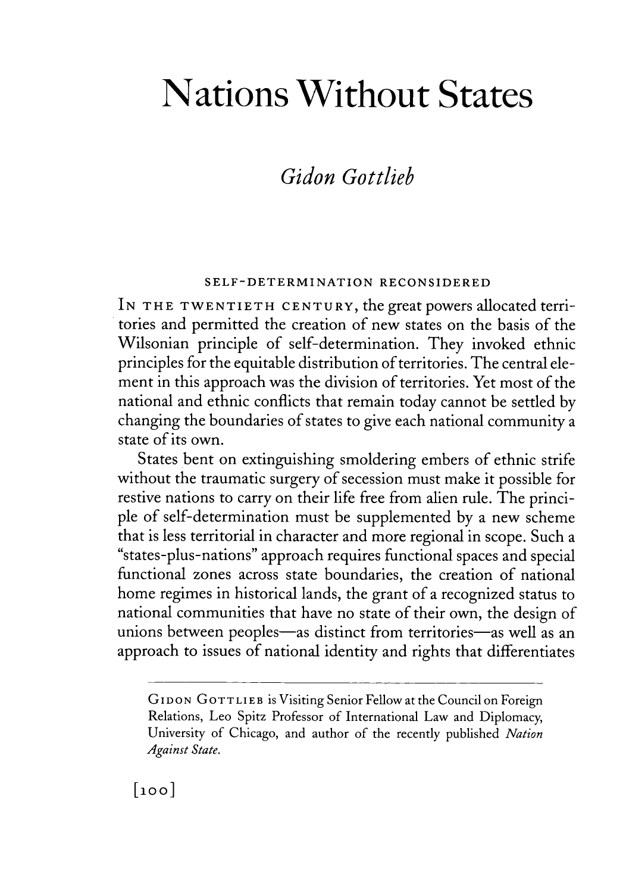# *Gidon Gottlieb*

#### **SELF-DETERMINATION** RECONSIDERED

IN **THE TWENTIETH CENTURY,** the great powers allocated territories and permitted the creation of new states on the basis of the Wilsonian principle of self-determination. They invoked ethnic principles for the equitable distribution of territories. The central element in this approach was the division of territories. Yet most of the national and ethnic conflicts that remain today cannot be settled by changing the boundaries of states to give each national community a state of its own.

States bent on extinguishing smoldering embers of ethnic strife without the traumatic surgery of secession must make it possible for restive nations to carry on their life free from alien rule. The principle of self-determination must be supplemented by a new scheme that is less territorial in character and more regional in scope. Such a "states-plus-nations" approach requires functional spaces and special functional zones across state boundaries, the creation of national home regimes in historical lands, the grant of a recognized status to national communities that have no state of their own, the design of unions between peoples—as distinct from territories—as well as an approach to issues of national identity and rights that differentiates

**GIDON** GOTTLIEB is Visiting Senior Fellow at the Council on Foreign Relations, Leo Spitz Professor of International Law and Diplomacy, University of Chicago, and author of the recently published *Nation Against State.*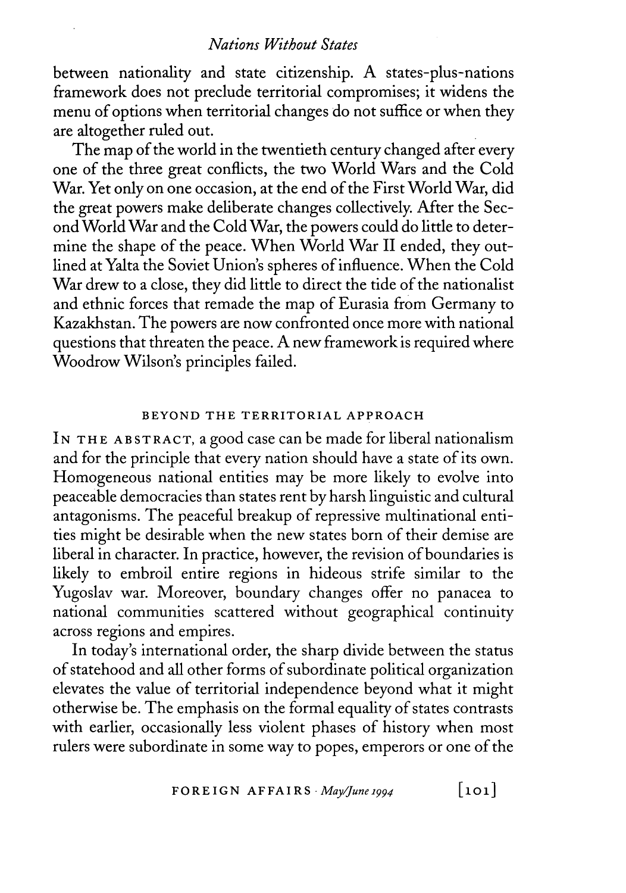between nationality and state citizenship. A states-plus-nations framework does not preclude territorial compromises; it widens the menu of options when territorial changes do not suffice or when they are altogether ruled out.

The map of the world in the twentieth century changed after every one of the three great conflicts, the two World Wars and the Cold War. Yet only on one occasion, at the end of the First World War, did the great powers make deliberate changes collectively. After the Second World War and the Cold War, the powers could do little to determine the shape of the peace. When World War II ended, they outlined at Yalta the Soviet Union's spheres of influence. When the Cold War drew to a close, they did little to direct the tide of the nationalist and ethnic forces that remade the map of Eurasia from Germany to Kazakhstan. The powers are now confronted once more with national questions that threaten the peace. A new framework is required where Woodrow Wilson's principles failed.

#### BEYOND THE TERRITORIAL APPROACH

IN **THE** ABSTRACT, a good case can be made for liberal nationalism and for the principle that every nation should have a state of its own. Homogeneous national entities may be more likely to evolve into peaceable democracies than states rent by harsh linguistic and cultural antagonisms. The peaceful breakup of repressive multinational entities might be desirable when the new states born of their demise are liberal in character. In practice, however, the revision of boundaries is likely to embroil entire regions in hideous strife similar to the Yugoslav war. Moreover, boundary changes offer no panacea to national communities scattered without geographical continuity across regions and empires.

In today's international order, the sharp divide between the status of statehood and all other forms of subordinate political organization elevates the value of territorial independence beyond what it might otherwise be. The emphasis on the formal equality of states contrasts with earlier, occasionally less violent phases of history when most rulers were subordinate in some way to popes, emperors or one of the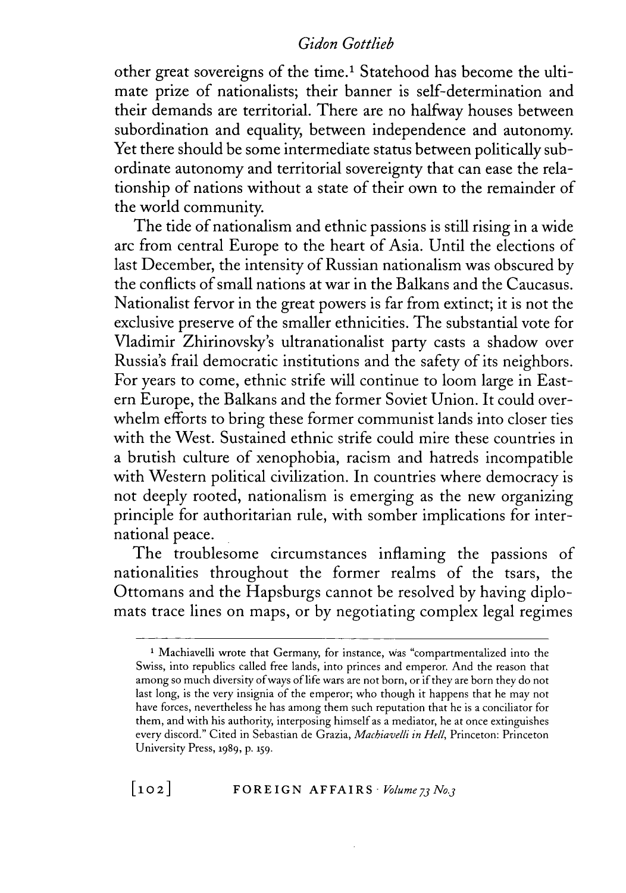other great sovereigns of the time.' Statehood has become the ultimate prize of nationalists; their banner is self-determination and their demands are territorial. There are no halfway houses between subordination and equality, between independence and autonomy. Yet there should be some intermediate status between politically subordinate autonomy and territorial sovereignty that can ease the relationship of nations without a state of their own to the remainder of the world community.

The tide of nationalism and ethnic passions is still rising in a wide arc from central Europe to the heart of Asia. Until the elections of last December, the intensity of Russian nationalism was obscured by the conflicts of small nations at war in the Balkans and the Caucasus. Nationalist fervor in the great powers is far from extinct; it is not the exclusive preserve of the smaller ethnicities. The substantial vote for Vladimir Zhirinovsky's ultranationalist party casts a shadow over Russia's frail democratic institutions and the safety of its neighbors. For years to come, ethnic strife will continue to loom large in Eastern Europe, the Balkans and the former Soviet Union. It could overwhelm efforts to bring these former communist lands into closer ties with the West. Sustained ethnic strife could mire these countries in a brutish culture of xenophobia, racism and hatreds incompatible with Western political civilization. In countries where democracy is not deeply rooted, nationalism is emerging as the new organizing principle for authoritarian rule, with somber implications for international peace.

The troublesome circumstances inflaming the passions of nationalities throughout the former realms of the tsars, the Ottomans and the Hapsburgs cannot be resolved by having diplomats trace lines on maps, or by negotiating complex legal regimes

<sup>&</sup>lt;sup>1</sup> Machiavelli wrote that Germany, for instance, was "compartmentalized into the Swiss, into republics called free lands, into princes and emperor. And the reason that among so much diversity of ways of life wars are not born, or if they are born they do not last long, is the very insignia of the emperor; who though **it** happens that he may not have forces, nevertheless he has among them such reputation that he is a conciliator for them, and with his authority, interposing himself as a mediator, he at once extinguishes every discord." Cited in Sebastian de Grazia, *Machiavelli in Hell,* Princeton: Princeton University Press, **1989, p. 159.**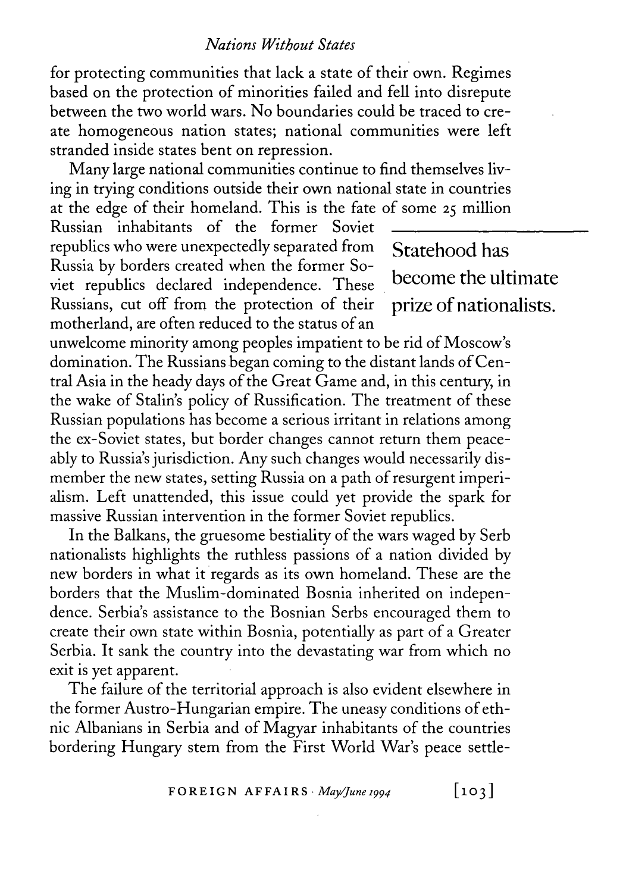for protecting communities that lack a state of their own. Regimes based on the protection of minorities failed and fell into disrepute between the two world wars. No boundaries could be traced to create homogeneous nation states; national communities were left stranded inside states bent on repression.

Many large national communities continue to find themselves living in trying conditions outside their own national state in countries at the edge of their homeland. This is the fate of some **25** million

Russian inhabitants of the former Soviet republics who were unexpectedly separated from Statehood has Russia by borders created when the former Soviet republics declared independence. These become the ultimate<br>Russians, cut off from the protection of their prize of nationalists. Russians, cut off from the protection of their motherland, are often reduced to the status of an

unwelcome minority among peoples impatient to be rid of Moscow's domination. The Russians began coming to the distant lands of Central Asia in the heady days of the Great Game and, in this century, in the wake of Stalin's policy of Russification. The treatment of these Russian populations has become a serious irritant in relations among the ex-Soviet states, but border changes cannot return them peaceably to Russia's jurisdiction. Any such changes would necessarily dismember the new states, setting Russia on a path of resurgent imperialism. Left unattended, this issue could yet provide the spark for massive Russian intervention in the former Soviet republics.

In the Balkans, the gruesome bestiality of the wars waged by Serb nationalists highlights the ruthless passions of a nation divided by new borders in what it regards as its own homeland. These are the borders that the Muslim-dominated Bosnia inherited on independence. Serbia's assistance to the Bosnian Serbs encouraged them to create their own state within Bosnia, potentially as part of a Greater Serbia. It sank the country into the devastating war from which no exit is yet apparent.

The failure of the territorial approach is also evident elsewhere in the former Austro-Hungarian empire. The uneasy conditions of ethnic Albanians in Serbia and of Magyar inhabitants of the countries bordering Hungary stem from the First World War's peace settle-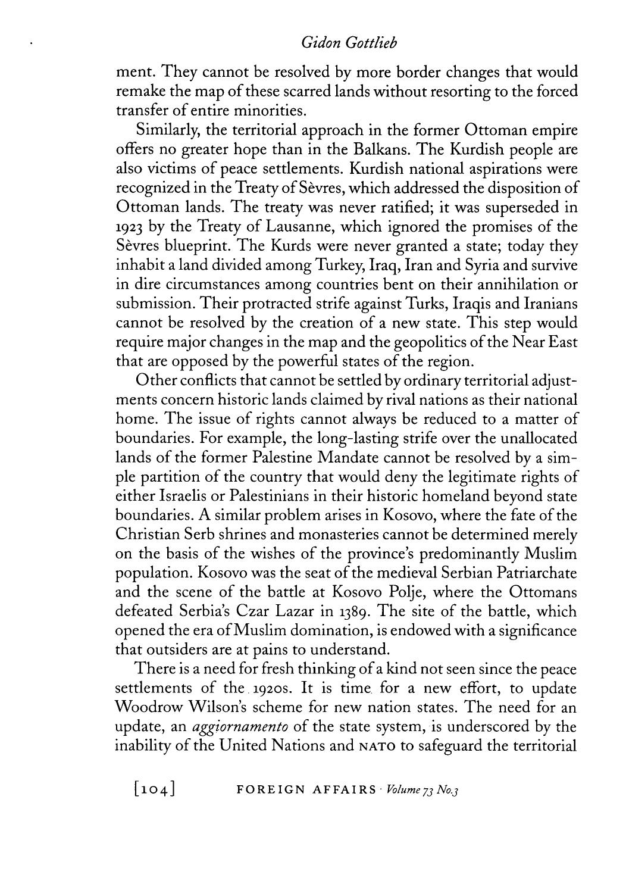ment. They cannot be resolved by more border changes that would remake the map of these scarred lands without resorting to the forced transfer of entire minorities.

Similarly, the territorial approach in the former Ottoman empire offers no greater hope than in the Balkans. The Kurdish people are also victims of peace settlements. Kurdish national aspirations were recognized in the Treaty of Sèvres, which addressed the disposition of Ottoman lands. The treaty was never ratified; it was superseded in **1923** by the Treaty of Lausanne, which ignored the promises of the Sèvres blueprint. The Kurds were never granted a state; today they inhabit a land divided among Turkey, Iraq, Iran and Syria and survive in dire circumstances among countries bent on their annihilation or submission. Their protracted strife against Turks, Iraqis and Iranians cannot be resolved by the creation of a new state. This step would require major changes in the map and the geopolitics of the Near East that are opposed by the powerful states of the region.

Other conflicts that cannot be settled by ordinary territorial adjustments concern historic lands claimed by rival nations as their national home. The issue of rights cannot always be reduced to a matter of boundaries. For example, the long-lasting strife over the unallocated lands of the former Palestine Mandate cannot be resolved by a simple partition of the country that would deny the legitimate rights of either Israelis or Palestinians in their historic homeland beyond state boundaries. A similar problem arises in Kosovo, where the fate of the Christian Serb shrines and monasteries cannot be determined merely on the basis of the wishes of the province's predominantly Muslim population. Kosovo was the seat of the medieval Serbian Patriarchate and the scene of the battle at Kosovo Polje, where the Ottomans defeated Serbia's Czar Lazar in **1389.** The site of the battle, which opened the era of Muslim domination, is endowed with a significance that outsiders are at pains to understand.

There is a need for fresh thinking of a kind not seen since the peace settlements of the **192os.** It is time for a new effort, to update Woodrow Wilson's scheme for new nation states. The need for an update, an *aggiornamento* of the state system, is underscored by the inability of the United Nations and NATO to safeguard the territorial

 $\begin{bmatrix} 104 \end{bmatrix}$  **FOREIGN** AFFAIRS *Volume* 73 No.3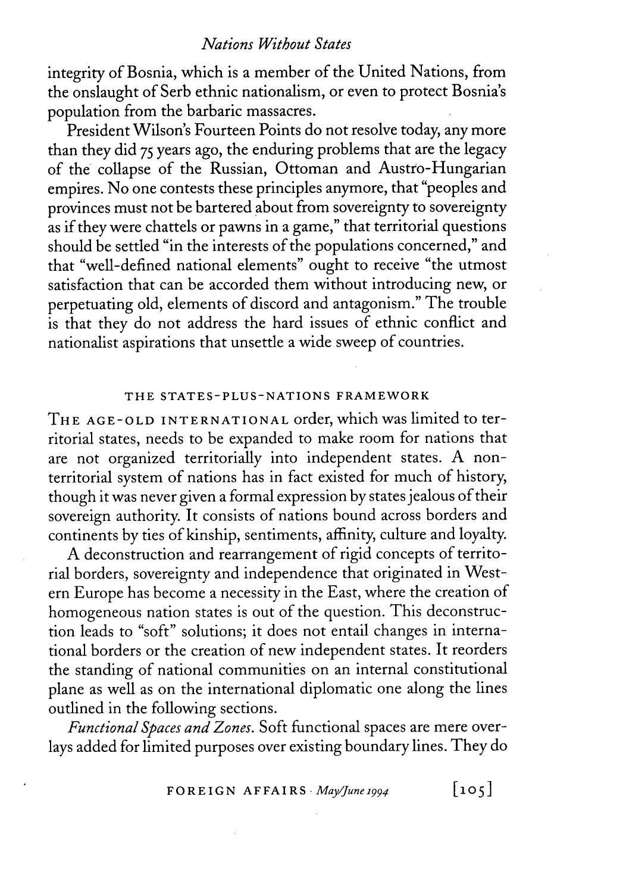integrity of Bosnia, which is a member of the United Nations, from the onslaught of Serb ethnic nationalism, or even to protect Bosnia's population from the barbaric massacres.

President Wilson's Fourteen Points do not resolve today, any more than they did 75 years ago, the enduring problems that are the legacy of the collapse of the Russian, Ottoman and Austro-Hungarian empires. No one contests these principles anymore, that "peoples and provinces must not be bartered about from sovereignty to sovereignty as if they were chattels or pawns in a game," that territorial questions should be settled "in the interests of the populations concerned," and that "well-defined national elements" ought to receive "the utmost satisfaction that can be accorded them without introducing new, or perpetuating old, elements of discord and antagonism." The trouble is that they do not address the hard issues of ethnic conflict and nationalist aspirations that unsettle a wide sweep of countries.

#### THE **STATES-PLUS-NATIONS** FRAMEWORK

THE **AGE-OLD** INTERNATIONAL order, which was limited to territorial states, needs to be expanded to make room for nations that are not organized territorially into independent states. A nonterritorial system of nations has in fact existed for much of history, though it was never given a formal expression by states jealous of their sovereign authority. It consists of nations bound across borders and continents by ties of kinship, sentiments, affinity, culture and loyalty.

A deconstruction and rearrangement of rigid concepts of territorial borders, sovereignty and independence that originated in Western Europe has become a necessity in the East, where the creation of homogeneous nation states is out of the question. This deconstruction leads to "soft" solutions; it does not entail changes in international borders or the creation of new independent states. It reorders the standing of national communities on an internal constitutional plane as well as on the international diplomatic one along the lines outlined in the following sections.

*Functional Spaces and Zones.* Soft functional spaces are mere overlays added for limited purposes over existing boundary lines. They do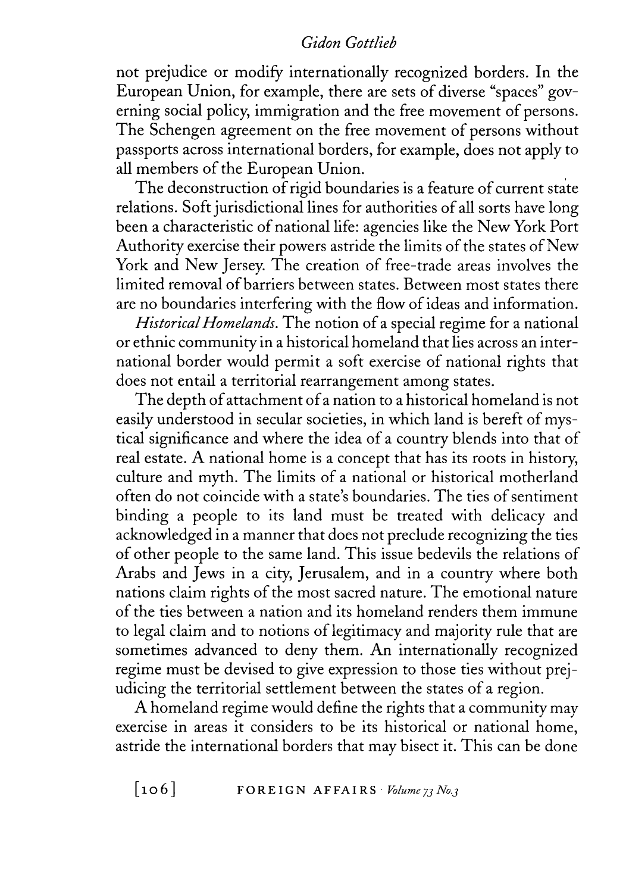not prejudice or modify internationally recognized borders. In the European Union, for example, there are sets of diverse "spaces" governing social policy, immigration and the free movement of persons. The Schengen agreement on the free movement of persons without passports across international borders, for example, does not apply to all members of the European Union.

The deconstruction of rigid boundaries is a feature of current state relations. Soft jurisdictional lines for authorities of all sorts have long been a characteristic of national life: agencies like the New York Port Authority exercise their powers astride the limits of the states of New York and New Jersey. The creation of free-trade areas involves the limited removal of barriers between states. Between most states there are no boundaries interfering with the flow of ideas and information.

*Historical Homelands.* The notion of a special regime for a national or ethnic community in a historical homeland that lies across an international border would permit a soft exercise of national rights that does not entail a territorial rearrangement among states.

The depth of attachment of a nation to a historical homeland is not easily understood in secular societies, in which land is bereft of mystical significance and where the idea of a country blends into that of real estate. A national home is a concept that has its roots in history, culture and myth. The limits of a national or historical motherland often do not coincide with a state's boundaries. The ties of sentiment binding a people to its land must be treated with delicacy and acknowledged in a manner that does not preclude recognizing the ties of other people to the same land. This issue bedevils the relations of Arabs and Jews in a city, Jerusalem, and in a country where both nations claim rights of the most sacred nature. The emotional nature of the ties between a nation and its homeland renders them immune to legal claim and to notions of legitimacy and majority rule that are sometimes advanced to deny them. An internationally recognized regime must be devised to give expression to those ties without prejudicing the territorial settlement between the states of a region.

A homeland regime would define the rights that a community may exercise in areas it considers to be its historical or national home, astride the international borders that may bisect it. This can be done

 $\lceil 106 \rceil$  **FOREIGN AFFAIRS** *Volume* 73 No.3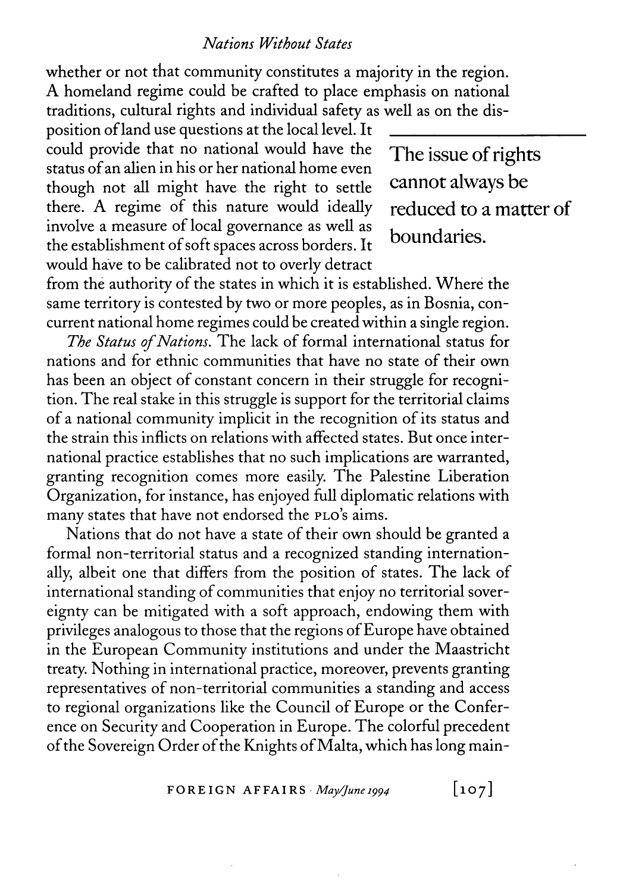whether or not that community constitutes a majority in the region. A homeland regime could be crafted to place emphasis on national traditions, cultural rights and individual safety as well as on the dis-

position of land use questions at the local level. It could provide that no national would have the status of an alien in his or her national home even though not all might have the right to settle cannot always be there. A regime of this nature would ideally involve a measure of local governance as well as the establishment of soft spaces across borders. It boundaries. would have to be calibrated not to overly detract

The issue of rights reduced to a matter of

from the authority of the states in which it is established. Where the same territory is contested by two or more peoples, as in Bosnia, concurrent national home regimes could be created within a single region.

*The Status of Nations.* The lack of formal international status for nations and for ethnic communities that have no state of their own has been an object of constant concern in their struggle for recognition. The real stake in this struggle is support for the territorial claims of a national community implicit in the recognition of its status and the strain this inflicts on relations with affected states. But once international practice establishes that no such implications are warranted, granting recognition comes more easily. The Palestine Liberation Organization, for instance, has enjoyed full diplomatic relations with many states that have not endorsed the PLO'S aims.

Nations that do not have a state of their own should be granted a formal non-territorial status and a recognized standing internationally, albeit one that differs from the position of states. The lack of international standing of communities that enjoy no territorial sovereignty can be mitigated with a soft approach, endowing them with privileges analogous to those that the regions of Europe have obtained in the European Community institutions and under the Maastricht treaty. Nothing in international practice, moreover, prevents granting representatives of non-territorial communities a standing and access to regional organizations like the Council of Europe or the Conference on Security and Cooperation in Europe. The colorful precedent of the Sovereign Order of the Knights of Malta, which has long main-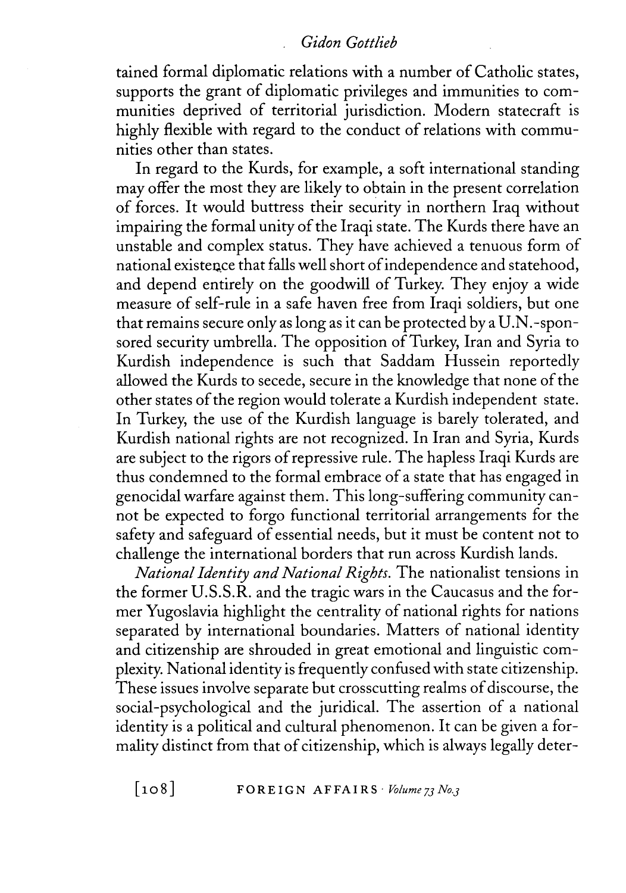tained formal diplomatic relations with a number of Catholic states, supports the grant of diplomatic privileges and immunities to communities deprived of territorial jurisdiction. Modern statecraft is highly flexible with regard to the conduct of relations with communities other than states.

In regard to the Kurds, for example, a soft international standing may offer the most they are likely to obtain in the present correlation of forces. It would buttress their security in northern Iraq without impairing the formal unity of the Iraqi state. The Kurds there have an unstable and complex status. They have achieved a tenuous form of national existeqce that falls well short of independence and statehood, and depend entirely on the goodwill of Turkey. They enjoy a wide measure of self-rule in a safe haven free from Iraqi soldiers, but one that remains secure only as long as it can be protected by a U.N.-sponsored security umbrella. The opposition of Turkey, Iran and Syria to Kurdish independence is such that Saddam Hussein reportedly allowed the Kurds to secede, secure in the knowledge that none of the other states of the region would tolerate a Kurdish independent state. In Turkey, the use of the Kurdish language is barely tolerated, and Kurdish national rights are not recognized. In Iran and Syria, Kurds are subject to the rigors of repressive rule. The hapless Iraqi Kurds are thus condemned to the formal embrace of a state that has engaged in genocidal warfare against them. This long-suffering community cannot be expected to forgo functional territorial arrangements for the safety and safeguard of essential needs, but it must be content not to challenge the international borders that run across Kurdish lands.

*National Identity and National Rights.* The nationalist tensions in the former U.S.S.R. and the tragic wars in the Caucasus and the former Yugoslavia highlight the centrality of national rights for nations separated by international boundaries. Matters of national identity and citizenship are shrouded in great emotional and linguistic complexity. National identity is frequently confused with state citizenship. These issues involve separate but crosscutting realms of discourse, the social-psychological and the juridical. The assertion of a national identity is a political and cultural phenomenon. It can be given a formality distinct from that of citizenship, which is always legally deter-

 $\begin{bmatrix} 108 \end{bmatrix}$  **FOREIGN AFFAIRS** *Volume* 73 No.3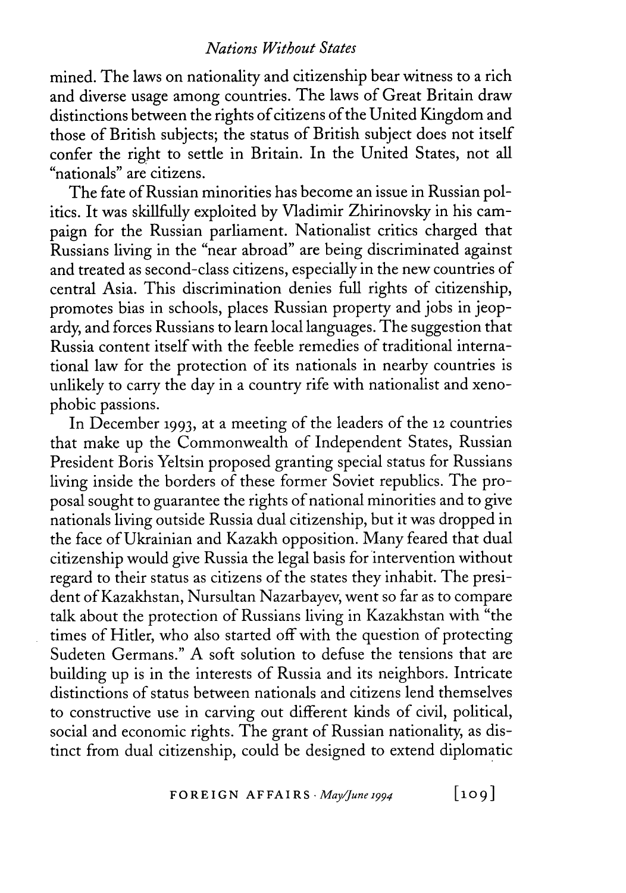mined. The laws on nationality and citizenship bear witness to a rich and diverse usage among countries. The laws of Great Britain draw distinctions between the rights of citizens of the United Kingdom and those of British subjects; the status of British subject does not itself confer the right to settle in Britain. In the United States, not all "nationals" are citizens.

The fate of Russian minorities has become an issue in Russian politics. It was skillfully exploited by Vladimir Zhirinovsky in his campaign for the Russian parliament. Nationalist critics charged that Russians living in the "near abroad" are being discriminated against and treated as second-class citizens, especially in the new countries of central Asia. This discrimination denies full rights of citizenship, promotes bias in schools, places Russian property and jobs in jeopardy, and forces Russians to learn local languages. The suggestion that Russia content itself with the feeble remedies of traditional international law for the protection of its nationals in nearby countries is unlikely to carry the day in a country rife with nationalist and xenophobic passions.

In December **1993,** at a meeting of the leaders of the **12** countries that make up the Commonwealth of Independent States, Russian President Boris Yeltsin proposed granting special status for Russians living inside the borders of these former Soviet republics. The proposal sought to guarantee the rights of national minorities and to give nationals living outside Russia dual citizenship, but it was dropped in the face of Ukrainian and Kazakh opposition. Many feared that dual citizenship would give Russia the legal basis for intervention without regard to their status as citizens of the states they inhabit. The president of Kazakhstan, Nursultan Nazarbayev, went so far as to compare talk about the protection of Russians living in Kazakhstan with "the times of Hitler, who also started off with the question of protecting Sudeten Germans." **A** soft solution to defuse the tensions that are building up is in the interests of Russia and its neighbors. Intricate distinctions of status between nationals and citizens lend themselves to constructive use in carving out different kinds of civil, political, social and economic rights. The grant of Russian nationality, as distinct from dual citizenship, could be designed to extend diplomatic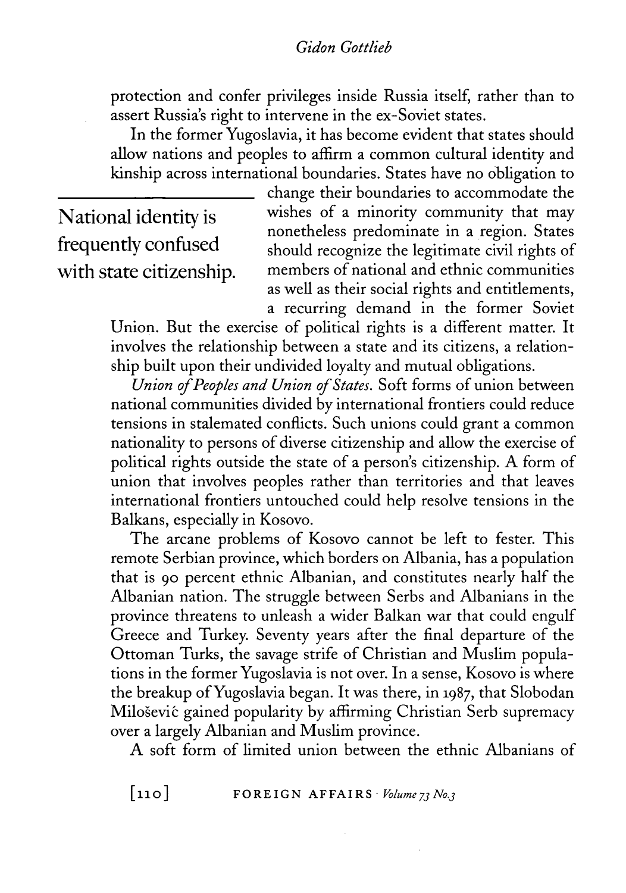protection and confer privileges inside Russia itself, rather than to assert Russia's right to intervene in the ex-Soviet states.

In the former Yugoslavia, it has become evident that states should allow nations and peoples to affirm a common cultural identity and kinship across international boundaries. States have no obligation to

change their boundaries to accommodate the National identity is wishes of a minority community that may nonetheless predominate in a region. States frequently confused should recognize the legitimate civil rights of with state citizenship. members of national and ethnic communities as well as their social rights and entitlements, a recurring demand in the former Soviet

Union. But the exercise of political rights is a different matter. It involves the relationship between a state and its citizens, a relationship built upon their undivided loyalty and mutual obligations.

*Union of Peoples and Union of States.* Soft forms of union between national communities divided by international frontiers could reduce tensions in stalemated conflicts. Such unions could grant a common nationality to persons of diverse citizenship and allow the exercise of political rights outside the state of a person's citizenship. **A** form of union that involves peoples rather than territories and that leaves international frontiers untouched could help resolve tensions in the Balkans, especially in Kosovo.

The arcane problems of Kosovo cannot be left to fester. This remote Serbian province, which borders on Albania, has a population that is **90** percent ethnic Albanian, and constitutes nearly half the Albanian nation. The struggle between Serbs and Albanians in the province threatens to unleash a wider Balkan war that could engulf Greece and Turkey. Seventy years after the final departure of the Ottoman Turks, the savage strife of Christian and Muslim populations in the former Yugoslavia is not over. In a sense, Kosovo is where the breakup of Yugoslavia began. It was there, in **1987,** that Slobodan Milošević gained popularity by affirming Christian Serb supremacy over a largely Albanian and Muslim province.

A soft form of limited union between the ethnic Albanians of

**FOREIGN** AFFAIRS" *Volume73No.* **[11o0]** *<sup>3</sup>*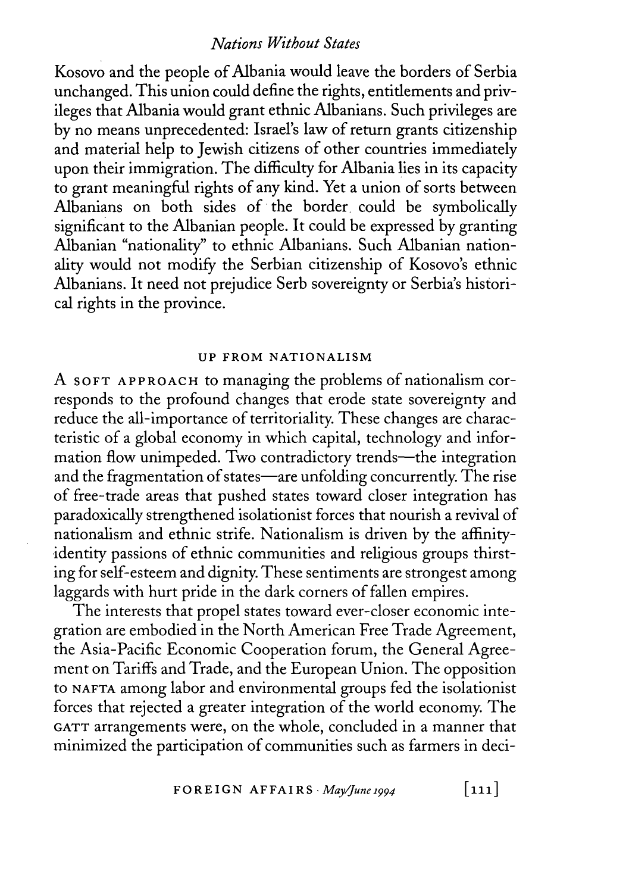Kosovo and the people of Albania would leave the borders of Serbia unchanged. This union could define the rights, entitlements and privileges that Albania would grant ethnic Albanians. Such privileges are by no means unprecedented: Israel's law of return grants citizenship and material help to Jewish citizens of other countries immediately upon their immigration. The difficulty for Albania lies in its capacity to grant meaningful rights of any kind. Yet a union of sorts between Albanians on both sides of the border, could be symbolically significant to the Albanian people. It could be expressed by granting Albanian "nationality" to ethnic Albanians. Such Albanian nationality would not modify the Serbian citizenship of Kosovo's ethnic Albanians. It need not prejudice Serb sovereignty or Serbia's historical rights in the province.

#### **UP** FROM **NATIONALISM**

A **SOFT** APPROACH to managing the problems of nationalism corresponds to the profound changes that erode state sovereignty and reduce the all-importance of territoriality. These changes are characteristic of a global economy in which capital, technology and information flow unimpeded. Two contradictory trends-the integration and the fragmentation of states—are unfolding concurrently. The rise of free-trade areas that pushed states toward closer integration has paradoxically strengthened isolationist forces that nourish a revival of nationalism and ethnic strife. Nationalism is driven by the affinityidentity passions of ethnic communities and religious groups thirsting for self-esteem and dignity. These sentiments are strongest among laggards with hurt pride in the dark corners of fallen empires.

The interests that propel states toward ever-closer economic integration are embodied in the North American Free Trade Agreement, the Asia-Pacific Economic Cooperation forum, the General Agreement on Tariffs and Trade, and the European Union. The opposition to NAFTA among labor and environmental groups fed the isolationist forces that rejected a greater integration of the world economy. The GATT arrangements were, on the whole, concluded in a manner that minimized the participation of communities such as farmers in deci-